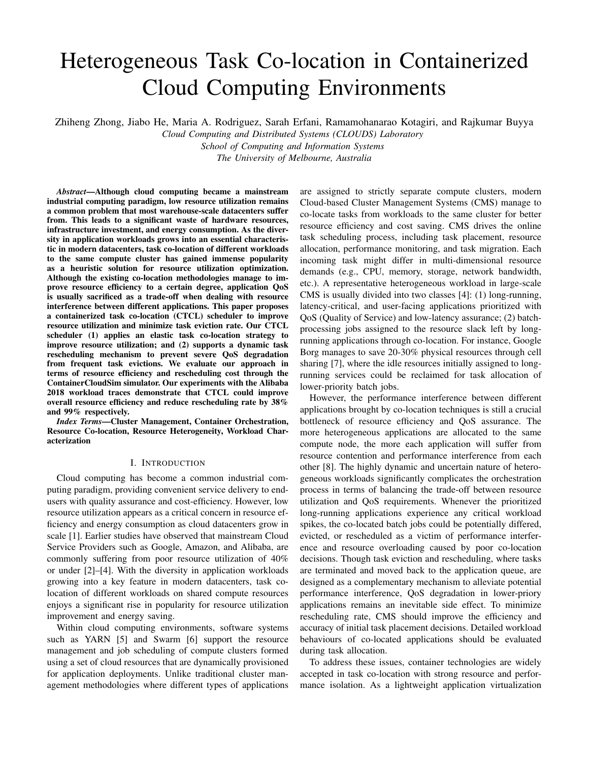# Heterogeneous Task Co-location in Containerized Cloud Computing Environments

Zhiheng Zhong, Jiabo He, Maria A. Rodriguez, Sarah Erfani, Ramamohanarao Kotagiri, and Rajkumar Buyya

*Cloud Computing and Distributed Systems (CLOUDS) Laboratory School of Computing and Information Systems*

*The University of Melbourne, Australia*

*Abstract*—Although cloud computing became a mainstream industrial computing paradigm, low resource utilization remains a common problem that most warehouse-scale datacenters suffer from. This leads to a significant waste of hardware resources, infrastructure investment, and energy consumption. As the diversity in application workloads grows into an essential characteristic in modern datacenters, task co-location of different workloads to the same compute cluster has gained immense popularity as a heuristic solution for resource utilization optimization. Although the existing co-location methodologies manage to improve resource efficiency to a certain degree, application QoS is usually sacrificed as a trade-off when dealing with resource interference between different applications. This paper proposes a containerized task co-location (CTCL) scheduler to improve resource utilization and minimize task eviction rate. Our CTCL scheduler (1) applies an elastic task co-location strategy to improve resource utilization; and (2) supports a dynamic task rescheduling mechanism to prevent severe QoS degradation from frequent task evictions. We evaluate our approach in terms of resource efficiency and rescheduling cost through the ContainerCloudSim simulator. Our experiments with the Alibaba 2018 workload traces demonstrate that CTCL could improve overall resource efficiency and reduce rescheduling rate by 38% and 99% respectively.

*Index Terms*—Cluster Management, Container Orchestration, Resource Co-location, Resource Heterogeneity, Workload Characterization

# I. INTRODUCTION

Cloud computing has become a common industrial computing paradigm, providing convenient service delivery to endusers with quality assurance and cost-efficiency. However, low resource utilization appears as a critical concern in resource efficiency and energy consumption as cloud datacenters grow in scale [1]. Earlier studies have observed that mainstream Cloud Service Providers such as Google, Amazon, and Alibaba, are commonly suffering from poor resource utilization of 40% or under [2]–[4]. With the diversity in application workloads growing into a key feature in modern datacenters, task colocation of different workloads on shared compute resources enjoys a significant rise in popularity for resource utilization improvement and energy saving.

Within cloud computing environments, software systems such as YARN [5] and Swarm [6] support the resource management and job scheduling of compute clusters formed using a set of cloud resources that are dynamically provisioned for application deployments. Unlike traditional cluster management methodologies where different types of applications are assigned to strictly separate compute clusters, modern Cloud-based Cluster Management Systems (CMS) manage to co-locate tasks from workloads to the same cluster for better resource efficiency and cost saving. CMS drives the online task scheduling process, including task placement, resource allocation, performance monitoring, and task migration. Each incoming task might differ in multi-dimensional resource demands (e.g., CPU, memory, storage, network bandwidth, etc.). A representative heterogeneous workload in large-scale CMS is usually divided into two classes [4]: (1) long-running, latency-critical, and user-facing applications prioritized with QoS (Quality of Service) and low-latency assurance; (2) batchprocessing jobs assigned to the resource slack left by longrunning applications through co-location. For instance, Google Borg manages to save 20-30% physical resources through cell sharing [7], where the idle resources initially assigned to longrunning services could be reclaimed for task allocation of lower-priority batch jobs.

However, the performance interference between different applications brought by co-location techniques is still a crucial bottleneck of resource efficiency and QoS assurance. The more heterogeneous applications are allocated to the same compute node, the more each application will suffer from resource contention and performance interference from each other [8]. The highly dynamic and uncertain nature of heterogeneous workloads significantly complicates the orchestration process in terms of balancing the trade-off between resource utilization and QoS requirements. Whenever the prioritized long-running applications experience any critical workload spikes, the co-located batch jobs could be potentially differed, evicted, or rescheduled as a victim of performance interference and resource overloading caused by poor co-location decisions. Though task eviction and rescheduling, where tasks are terminated and moved back to the application queue, are designed as a complementary mechanism to alleviate potential performance interference, QoS degradation in lower-priory applications remains an inevitable side effect. To minimize rescheduling rate, CMS should improve the efficiency and accuracy of initial task placement decisions. Detailed workload behaviours of co-located applications should be evaluated during task allocation.

To address these issues, container technologies are widely accepted in task co-location with strong resource and performance isolation. As a lightweight application virtualization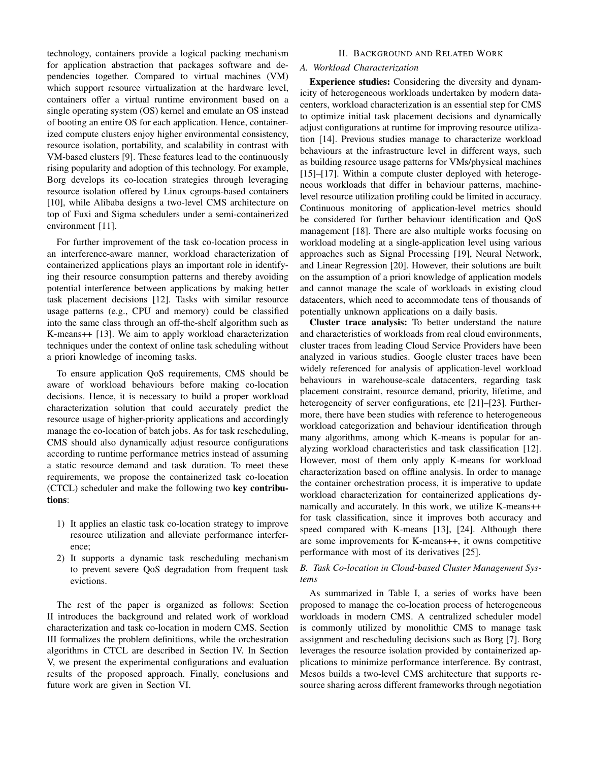technology, containers provide a logical packing mechanism for application abstraction that packages software and dependencies together. Compared to virtual machines (VM) which support resource virtualization at the hardware level, containers offer a virtual runtime environment based on a single operating system (OS) kernel and emulate an OS instead of booting an entire OS for each application. Hence, containerized compute clusters enjoy higher environmental consistency, resource isolation, portability, and scalability in contrast with VM-based clusters [9]. These features lead to the continuously rising popularity and adoption of this technology. For example, Borg develops its co-location strategies through leveraging resource isolation offered by Linux cgroups-based containers [10], while Alibaba designs a two-level CMS architecture on top of Fuxi and Sigma schedulers under a semi-containerized environment [11].

For further improvement of the task co-location process in an interference-aware manner, workload characterization of containerized applications plays an important role in identifying their resource consumption patterns and thereby avoiding potential interference between applications by making better task placement decisions [12]. Tasks with similar resource usage patterns (e.g., CPU and memory) could be classified into the same class through an off-the-shelf algorithm such as K-means++ [13]. We aim to apply workload characterization techniques under the context of online task scheduling without a priori knowledge of incoming tasks.

To ensure application QoS requirements, CMS should be aware of workload behaviours before making co-location decisions. Hence, it is necessary to build a proper workload characterization solution that could accurately predict the resource usage of higher-priority applications and accordingly manage the co-location of batch jobs. As for task rescheduling, CMS should also dynamically adjust resource configurations according to runtime performance metrics instead of assuming a static resource demand and task duration. To meet these requirements, we propose the containerized task co-location (CTCL) scheduler and make the following two key contributions:

- 1) It applies an elastic task co-location strategy to improve resource utilization and alleviate performance interference;
- 2) It supports a dynamic task rescheduling mechanism to prevent severe QoS degradation from frequent task evictions.

The rest of the paper is organized as follows: Section II introduces the background and related work of workload characterization and task co-location in modern CMS. Section III formalizes the problem definitions, while the orchestration algorithms in CTCL are described in Section IV. In Section V, we present the experimental configurations and evaluation results of the proposed approach. Finally, conclusions and future work are given in Section VI.

# II. BACKGROUND AND RELATED WORK

# *A. Workload Characterization*

Experience studies: Considering the diversity and dynamicity of heterogeneous workloads undertaken by modern datacenters, workload characterization is an essential step for CMS to optimize initial task placement decisions and dynamically adjust configurations at runtime for improving resource utilization [14]. Previous studies manage to characterize workload behaviours at the infrastructure level in different ways, such as building resource usage patterns for VMs/physical machines [15]–[17]. Within a compute cluster deployed with heterogeneous workloads that differ in behaviour patterns, machinelevel resource utilization profiling could be limited in accuracy. Continuous monitoring of application-level metrics should be considered for further behaviour identification and QoS management [18]. There are also multiple works focusing on workload modeling at a single-application level using various approaches such as Signal Processing [19], Neural Network, and Linear Regression [20]. However, their solutions are built on the assumption of a priori knowledge of application models and cannot manage the scale of workloads in existing cloud datacenters, which need to accommodate tens of thousands of potentially unknown applications on a daily basis.

Cluster trace analysis: To better understand the nature and characteristics of workloads from real cloud environments, cluster traces from leading Cloud Service Providers have been analyzed in various studies. Google cluster traces have been widely referenced for analysis of application-level workload behaviours in warehouse-scale datacenters, regarding task placement constraint, resource demand, priority, lifetime, and heterogeneity of server configurations, etc [21]–[23]. Furthermore, there have been studies with reference to heterogeneous workload categorization and behaviour identification through many algorithms, among which K-means is popular for analyzing workload characteristics and task classification [12]. However, most of them only apply K-means for workload characterization based on offline analysis. In order to manage the container orchestration process, it is imperative to update workload characterization for containerized applications dynamically and accurately. In this work, we utilize K-means++ for task classification, since it improves both accuracy and speed compared with K-means [13], [24]. Although there are some improvements for K-means++, it owns competitive performance with most of its derivatives [25].

### *B. Task Co-location in Cloud-based Cluster Management Systems*

As summarized in Table I, a series of works have been proposed to manage the co-location process of heterogeneous workloads in modern CMS. A centralized scheduler model is commonly utilized by monolithic CMS to manage task assignment and rescheduling decisions such as Borg [7]. Borg leverages the resource isolation provided by containerized applications to minimize performance interference. By contrast, Mesos builds a two-level CMS architecture that supports resource sharing across different frameworks through negotiation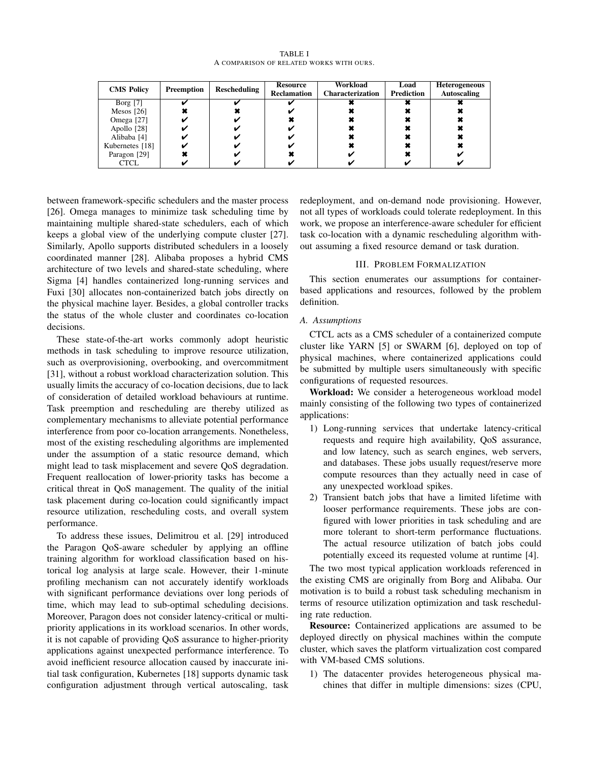TABLE I A COMPARISON OF RELATED WORKS WITH OURS.

| <b>CMS Policy</b> | Preemption | <b>Rescheduling</b> | Resource           | Workload                | Load              | <b>Heterogeneous</b> |
|-------------------|------------|---------------------|--------------------|-------------------------|-------------------|----------------------|
|                   |            |                     | <b>Reclamation</b> | <b>Characterization</b> | <b>Prediction</b> | Autoscaling          |
| Borg $[7]$        |            |                     |                    |                         |                   |                      |
| Mesos $[26]$      |            |                     |                    |                         |                   |                      |
| Omega [27]        |            |                     |                    |                         |                   |                      |
| Apollo [28]       |            |                     |                    |                         |                   |                      |
| Alibaba [4]       |            |                     |                    |                         |                   |                      |
| Kubernetes [18]   |            |                     |                    |                         |                   |                      |
| Paragon [29]      |            |                     |                    |                         |                   |                      |
| <b>CTCL</b>       |            |                     |                    |                         |                   |                      |

between framework-specific schedulers and the master process [26]. Omega manages to minimize task scheduling time by maintaining multiple shared-state schedulers, each of which keeps a global view of the underlying compute cluster [27]. Similarly, Apollo supports distributed schedulers in a loosely coordinated manner [28]. Alibaba proposes a hybrid CMS architecture of two levels and shared-state scheduling, where Sigma [4] handles containerized long-running services and Fuxi [30] allocates non-containerized batch jobs directly on the physical machine layer. Besides, a global controller tracks the status of the whole cluster and coordinates co-location decisions.

These state-of-the-art works commonly adopt heuristic methods in task scheduling to improve resource utilization, such as overprovisioning, overbooking, and overcommitment [31], without a robust workload characterization solution. This usually limits the accuracy of co-location decisions, due to lack of consideration of detailed workload behaviours at runtime. Task preemption and rescheduling are thereby utilized as complementary mechanisms to alleviate potential performance interference from poor co-location arrangements. Nonetheless, most of the existing rescheduling algorithms are implemented under the assumption of a static resource demand, which might lead to task misplacement and severe QoS degradation. Frequent reallocation of lower-priority tasks has become a critical threat in QoS management. The quality of the initial task placement during co-location could significantly impact resource utilization, rescheduling costs, and overall system performance.

To address these issues, Delimitrou et al. [29] introduced the Paragon QoS-aware scheduler by applying an offline training algorithm for workload classification based on historical log analysis at large scale. However, their 1-minute profiling mechanism can not accurately identify workloads with significant performance deviations over long periods of time, which may lead to sub-optimal scheduling decisions. Moreover, Paragon does not consider latency-critical or multipriority applications in its workload scenarios. In other words, it is not capable of providing QoS assurance to higher-priority applications against unexpected performance interference. To avoid inefficient resource allocation caused by inaccurate initial task configuration, Kubernetes [18] supports dynamic task configuration adjustment through vertical autoscaling, task redeployment, and on-demand node provisioning. However, not all types of workloads could tolerate redeployment. In this work, we propose an interference-aware scheduler for efficient task co-location with a dynamic rescheduling algorithm without assuming a fixed resource demand or task duration.

### III. PROBLEM FORMALIZATION

This section enumerates our assumptions for containerbased applications and resources, followed by the problem definition.

## *A. Assumptions*

CTCL acts as a CMS scheduler of a containerized compute cluster like YARN [5] or SWARM [6], deployed on top of physical machines, where containerized applications could be submitted by multiple users simultaneously with specific configurations of requested resources.

Workload: We consider a heterogeneous workload model mainly consisting of the following two types of containerized applications:

- 1) Long-running services that undertake latency-critical requests and require high availability, QoS assurance, and low latency, such as search engines, web servers, and databases. These jobs usually request/reserve more compute resources than they actually need in case of any unexpected workload spikes.
- 2) Transient batch jobs that have a limited lifetime with looser performance requirements. These jobs are configured with lower priorities in task scheduling and are more tolerant to short-term performance fluctuations. The actual resource utilization of batch jobs could potentially exceed its requested volume at runtime [4].

The two most typical application workloads referenced in the existing CMS are originally from Borg and Alibaba. Our motivation is to build a robust task scheduling mechanism in terms of resource utilization optimization and task rescheduling rate reduction.

Resource: Containerized applications are assumed to be deployed directly on physical machines within the compute cluster, which saves the platform virtualization cost compared with VM-based CMS solutions.

1) The datacenter provides heterogeneous physical machines that differ in multiple dimensions: sizes (CPU,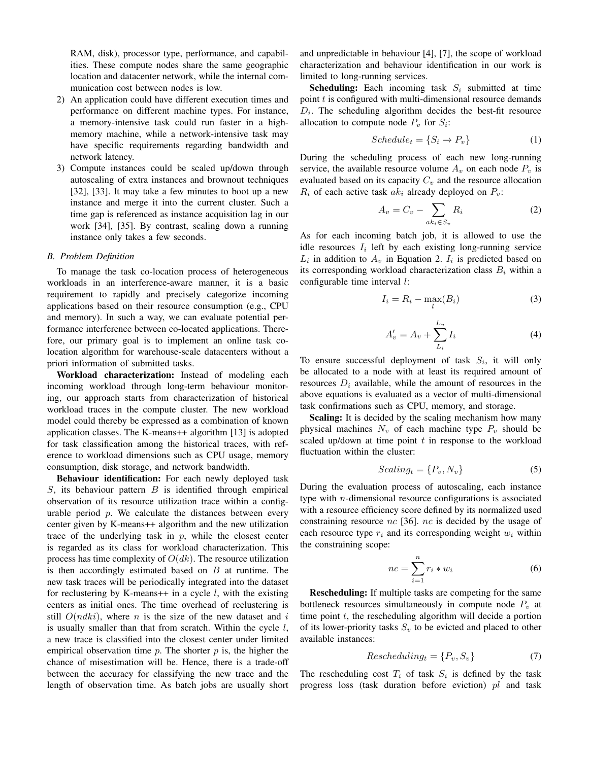RAM, disk), processor type, performance, and capabilities. These compute nodes share the same geographic location and datacenter network, while the internal communication cost between nodes is low.

- 2) An application could have different execution times and performance on different machine types. For instance, a memory-intensive task could run faster in a highmemory machine, while a network-intensive task may have specific requirements regarding bandwidth and network latency.
- 3) Compute instances could be scaled up/down through autoscaling of extra instances and brownout techniques [32], [33]. It may take a few minutes to boot up a new instance and merge it into the current cluster. Such a time gap is referenced as instance acquisition lag in our work [34], [35]. By contrast, scaling down a running instance only takes a few seconds.

#### *B. Problem Definition*

To manage the task co-location process of heterogeneous workloads in an interference-aware manner, it is a basic requirement to rapidly and precisely categorize incoming applications based on their resource consumption (e.g., CPU and memory). In such a way, we can evaluate potential performance interference between co-located applications. Therefore, our primary goal is to implement an online task colocation algorithm for warehouse-scale datacenters without a priori information of submitted tasks.

Workload characterization: Instead of modeling each incoming workload through long-term behaviour monitoring, our approach starts from characterization of historical workload traces in the compute cluster. The new workload model could thereby be expressed as a combination of known application classes. The K-means++ algorithm [13] is adopted for task classification among the historical traces, with reference to workload dimensions such as CPU usage, memory consumption, disk storage, and network bandwidth.

Behaviour identification: For each newly deployed task  $S$ , its behaviour pattern  $B$  is identified through empirical observation of its resource utilization trace within a configurable period  $p$ . We calculate the distances between every center given by K-means++ algorithm and the new utilization trace of the underlying task in  $p$ , while the closest center is regarded as its class for workload characterization. This process has time complexity of  $O(dk)$ . The resource utilization is then accordingly estimated based on  $B$  at runtime. The new task traces will be periodically integrated into the dataset for reclustering by K-means++ in a cycle  $l$ , with the existing centers as initial ones. The time overhead of reclustering is still  $O(ndki)$ , where n is the size of the new dataset and i is usually smaller than that from scratch. Within the cycle  $l$ , a new trace is classified into the closest center under limited empirical observation time  $p$ . The shorter  $p$  is, the higher the chance of misestimation will be. Hence, there is a trade-off between the accuracy for classifying the new trace and the length of observation time. As batch jobs are usually short and unpredictable in behaviour [4], [7], the scope of workload characterization and behaviour identification in our work is limited to long-running services.

**Scheduling:** Each incoming task  $S_i$  submitted at time point  $t$  is configured with multi-dimensional resource demands  $D_i$ . The scheduling algorithm decides the best-fit resource allocation to compute node  $P_v$  for  $S_i$ :

$$
Scheduling_{t} = \{S_i \to P_v\} \tag{1}
$$

During the scheduling process of each new long-running service, the available resource volume  $A_v$  on each node  $P_v$  is evaluated based on its capacity  $C_v$  and the resource allocation  $R_i$  of each active task  $ak_i$  already deployed on  $P_v$ :

$$
A_v = C_v - \sum_{ak_i \in S_v} R_i \tag{2}
$$

As for each incoming batch job, it is allowed to use the idle resources  $I_i$  left by each existing long-running service  $L_i$  in addition to  $A_v$  in Equation 2.  $I_i$  is predicted based on its corresponding workload characterization class  $B_i$  within a configurable time interval *l*:

$$
I_i = R_i - \max_l(B_i) \tag{3}
$$

$$
A'_{v} = A_{v} + \sum_{L_i}^{L_v} I_i
$$
\n<sup>(4)</sup>

To ensure successful deployment of task  $S_i$ , it will only be allocated to a node with at least its required amount of resources  $D_i$  available, while the amount of resources in the above equations is evaluated as a vector of multi-dimensional task confirmations such as CPU, memory, and storage.

**Scaling:** It is decided by the scaling mechanism how many physical machines  $N_v$  of each machine type  $P_v$  should be scaled up/down at time point  $t$  in response to the workload fluctuation within the cluster:

$$
Scaling_t = \{P_v, N_v\} \tag{5}
$$

During the evaluation process of autoscaling, each instance type with *n*-dimensional resource configurations is associated with a resource efficiency score defined by its normalized used constraining resource  $nc$  [36].  $nc$  is decided by the usage of each resource type  $r_i$  and its corresponding weight  $w_i$  within the constraining scope:

$$
nc = \sum_{i=1}^{n} r_i * w_i \tag{6}
$$

Rescheduling: If multiple tasks are competing for the same bottleneck resources simultaneously in compute node  $P_v$  at time point  $t$ , the rescheduling algorithm will decide a portion of its lower-priority tasks  $S_v$  to be evicted and placed to other available instances:

$$
Rescheduling_t = \{P_v, S_v\} \tag{7}
$$

The rescheduling cost  $T_i$  of task  $S_i$  is defined by the task progress loss (task duration before eviction) pl and task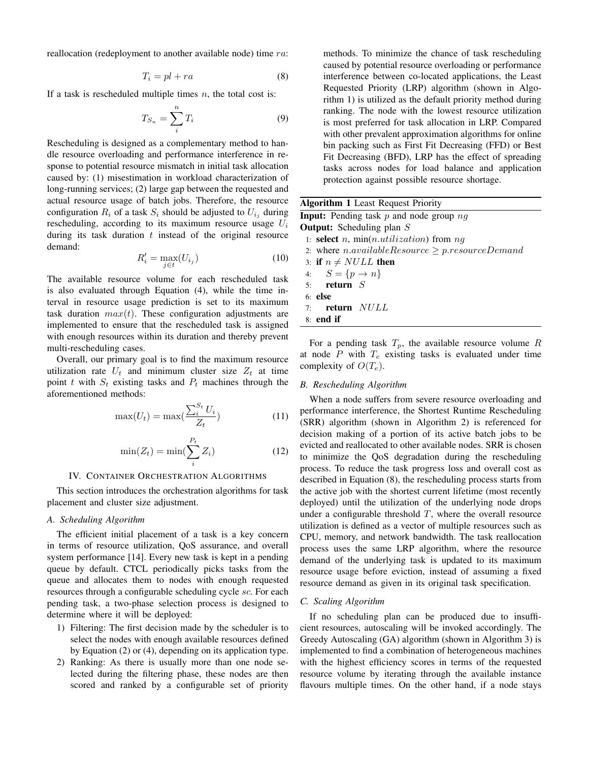reallocation (redeployment to another available node) time ra:

$$
T_i = pl + ra \tag{8}
$$

If a task is rescheduled multiple times  $n$ , the total cost is:

$$
T_{S_n} = \sum_{i}^{n} T_i \tag{9}
$$

Rescheduling is designed as a complementary method to handle resource overloading and performance interference in response to potential resource mismatch in initial task allocation caused by: (1) misestimation in workload characterization of long-running services; (2) large gap between the requested and actual resource usage of batch jobs. Therefore, the resource configuration  $R_i$  of a task  $S_i$  should be adjusted to  $U_{i,j}$  during rescheduling, according to its maximum resource usage  $U_i$ during its task duration  $t$  instead of the original resource demand:

$$
R_i' = \max_{j \in t} (U_{i_j})
$$
\n(10)

The available resource volume for each rescheduled task is also evaluated through Equation (4), while the time interval in resource usage prediction is set to its maximum task duration  $max(t)$ . These configuration adjustments are implemented to ensure that the rescheduled task is assigned with enough resources within its duration and thereby prevent multi-rescheduling cases.

Overall, our primary goal is to find the maximum resource utilization rate  $U_t$  and minimum cluster size  $Z_t$  at time point t with  $S_t$  existing tasks and  $P_t$  machines through the aforementioned methods:

$$
\max(U_t) = \max(\frac{\sum_{i}^{S_t} U_i}{Z_t})
$$
\n(11)

$$
\min(Z_t) = \min(\sum_{i}^{P_t} Z_i)
$$
\n(12)

#### IV. CONTAINER ORCHESTRATION ALGORITHMS

This section introduces the orchestration algorithms for task placement and cluster size adjustment.

#### *A. Scheduling Algorithm*

The efficient initial placement of a task is a key concern in terms of resource utilization, QoS assurance, and overall system performance [14]. Every new task is kept in a pending queue by default. CTCL periodically picks tasks from the queue and allocates them to nodes with enough requested resources through a configurable scheduling cycle sc. For each pending task, a two-phase selection process is designed to determine where it will be deployed:

- 1) Filtering: The first decision made by the scheduler is to select the nodes with enough available resources defined by Equation (2) or (4), depending on its application type.
- 2) Ranking: As there is usually more than one node selected during the filtering phase, these nodes are then scored and ranked by a configurable set of priority

methods. To minimize the chance of task rescheduling caused by potential resource overloading or performance interference between co-located applications, the Least Requested Priority (LRP) algorithm (shown in Algorithm 1) is utilized as the default priority method during ranking. The node with the lowest resource utilization is most preferred for task allocation in LRP. Compared with other prevalent approximation algorithms for online bin packing such as First Fit Decreasing (FFD) or Best Fit Decreasing (BFD), LRP has the effect of spreading tasks across nodes for load balance and application protection against possible resource shortage.

| <b>Algorithm 1</b> Least Request Priority                          |  |  |  |  |  |  |
|--------------------------------------------------------------------|--|--|--|--|--|--|
| <b>Input:</b> Pending task p and node group $nq$                   |  |  |  |  |  |  |
| <b>Output:</b> Scheduling plan $S$                                 |  |  |  |  |  |  |
| 1: <b>select</b> <i>n</i> , $min(n.utilization)$ from <i>nq</i>    |  |  |  |  |  |  |
| 2: where <i>n.availableResource</i> $\geq p$ <i>resourceDemand</i> |  |  |  |  |  |  |
| 3: if $n \neq NULL$ then                                           |  |  |  |  |  |  |
| 4: $S = \{p \to n\}$                                               |  |  |  |  |  |  |
| $5:$ return $S$                                                    |  |  |  |  |  |  |
| $6:$ else                                                          |  |  |  |  |  |  |
| 7: return NULL                                                     |  |  |  |  |  |  |
| $8:$ end if                                                        |  |  |  |  |  |  |
|                                                                    |  |  |  |  |  |  |

For a pending task  $T_p$ , the available resource volume R at node  $P$  with  $T_e$  existing tasks is evaluated under time complexity of  $O(T_e)$ .

# *B. Rescheduling Algorithm*

When a node suffers from severe resource overloading and performance interference, the Shortest Runtime Rescheduling (SRR) algorithm (shown in Algorithm 2) is referenced for decision making of a portion of its active batch jobs to be evicted and reallocated to other available nodes. SRR is chosen to minimize the QoS degradation during the rescheduling process. To reduce the task progress loss and overall cost as described in Equation (8), the rescheduling process starts from the active job with the shortest current lifetime (most recently deployed) until the utilization of the underlying node drops under a configurable threshold  $T$ , where the overall resource utilization is defined as a vector of multiple resources such as CPU, memory, and network bandwidth. The task reallocation process uses the same LRP algorithm, where the resource demand of the underlying task is updated to its maximum resource usage before eviction, instead of assuming a fixed resource demand as given in its original task specification.

### *C. Scaling Algorithm*

If no scheduling plan can be produced due to insufficient resources, autoscaling will be invoked accordingly. The Greedy Autoscaling (GA) algorithm (shown in Algorithm 3) is implemented to find a combination of heterogeneous machines with the highest efficiency scores in terms of the requested resource volume by iterating through the available instance flavours multiple times. On the other hand, if a node stays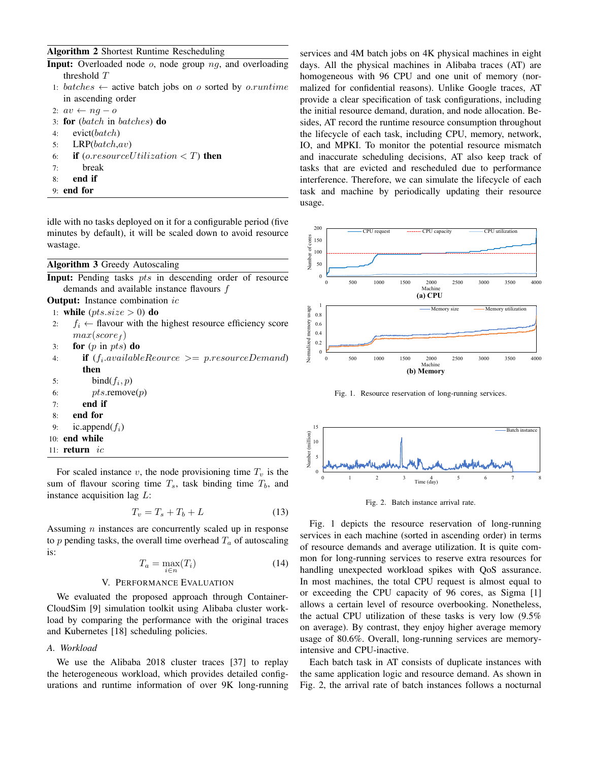## Algorithm 2 Shortest Runtime Rescheduling

| <b>Input:</b> Overloaded node $o$ , node group $ng$ , and overloading |  |  |  |  |
|-----------------------------------------------------------------------|--|--|--|--|
| threshold $T$                                                         |  |  |  |  |

- 1: batches  $\leftarrow$  active batch jobs on o sorted by o.runtime in ascending order
- 2:  $av \leftarrow ng o$
- 3: for (batch in batches) do
- 4: evict(batch)
- 5:  $LRP(batch,av)$
- 6: **if** (*o.resourceU* tilization  $\lt T$ **)** then
- 7: break
- 8: end if
- 9: end for

idle with no tasks deployed on it for a configurable period (five minutes by default), it will be scaled down to avoid resource wastage.

#### Algorithm 3 Greedy Autoscaling

Input: Pending tasks *pts* in descending order of resource demands and available instance flavours f

**Output:** Instance combination *ic* 

1: while  $(pts.size > 0)$  do

- 2:  $f_i \leftarrow$  flavour with the highest resource efficiency score  $max(score<sub>f</sub>)$
- 3: for  $(p \text{ in } pts)$  do
- 4: **if**  $(f_i \text{.available}$  *Reource*  $\geq p$ .resourceDemand) then
- 5: bind $(f_i, p)$
- 6:  $pts$ .remove $(p)$
- $7:$  end if
- 8: end for
- 9: ic.append $(f_i)$
- 10: end while
- 11:  $return$  ic

For scaled instance v, the node provisioning time  $T_v$  is the sum of flavour scoring time  $T_s$ , task binding time  $T_b$ , and instance acquisition lag L:

$$
T_v = T_s + T_b + L \tag{13}
$$

Assuming *n* instances are concurrently scaled up in response to p pending tasks, the overall time overhead  $T_a$  of autoscaling is:

$$
T_a = \max_{i \in n} (T_i) \tag{14}
$$

#### V. PERFORMANCE EVALUATION

We evaluated the proposed approach through Container-CloudSim [9] simulation toolkit using Alibaba cluster workload by comparing the performance with the original traces and Kubernetes [18] scheduling policies.

### *A. Workload*

We use the Alibaba 2018 cluster traces [37] to replay the heterogeneous workload, which provides detailed configurations and runtime information of over 9K long-running services and 4M batch jobs on 4K physical machines in eight days. All the physical machines in Alibaba traces (AT) are homogeneous with 96 CPU and one unit of memory (normalized for confidential reasons). Unlike Google traces, AT provide a clear specification of task configurations, including the initial resource demand, duration, and node allocation. Besides, AT record the runtime resource consumption throughout the lifecycle of each task, including CPU, memory, network, IO, and MPKI. To monitor the potential resource mismatch and inaccurate scheduling decisions, AT also keep track of tasks that are evicted and rescheduled due to performance interference. Therefore, we can simulate the lifecycle of each task and machine by periodically updating their resource usage.



Fig. 1. Resource reservation of long-running services.



Fig. 2. Batch instance arrival rate.

Fig. 1 depicts the resource reservation of long-running services in each machine (sorted in ascending order) in terms of resource demands and average utilization. It is quite common for long-running services to reserve extra resources for handling unexpected workload spikes with QoS assurance. In most machines, the total CPU request is almost equal to or exceeding the CPU capacity of 96 cores, as Sigma [1] allows a certain level of resource overbooking. Nonetheless, the actual CPU utilization of these tasks is very low (9.5% on average). By contrast, they enjoy higher average memory usage of 80.6%. Overall, long-running services are memoryintensive and CPU-inactive.

Each batch task in AT consists of duplicate instances with the same application logic and resource demand. As shown in Fig. 2, the arrival rate of batch instances follows a nocturnal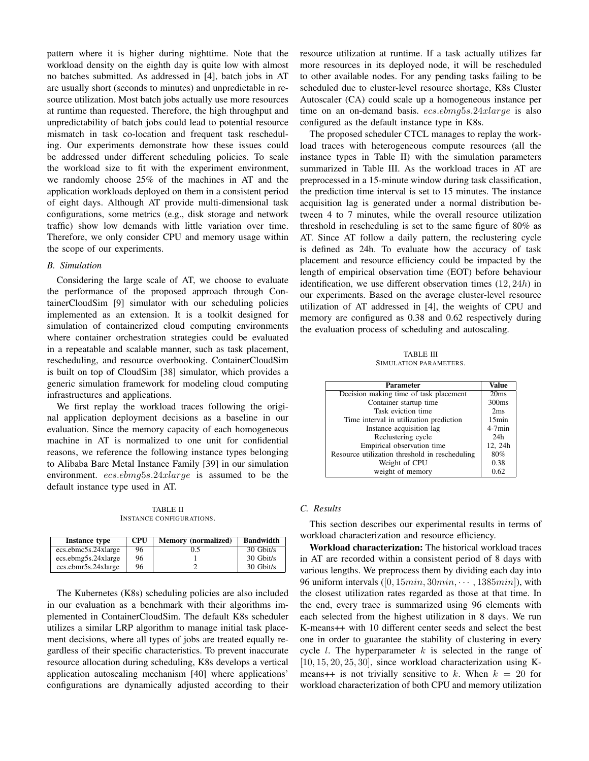pattern where it is higher during nighttime. Note that the workload density on the eighth day is quite low with almost no batches submitted. As addressed in [4], batch jobs in AT are usually short (seconds to minutes) and unpredictable in resource utilization. Most batch jobs actually use more resources at runtime than requested. Therefore, the high throughput and unpredictability of batch jobs could lead to potential resource mismatch in task co-location and frequent task rescheduling. Our experiments demonstrate how these issues could be addressed under different scheduling policies. To scale the workload size to fit with the experiment environment, we randomly choose 25% of the machines in AT and the application workloads deployed on them in a consistent period of eight days. Although AT provide multi-dimensional task configurations, some metrics (e.g., disk storage and network traffic) show low demands with little variation over time. Therefore, we only consider CPU and memory usage within the scope of our experiments.

#### *B. Simulation*

Considering the large scale of AT, we choose to evaluate the performance of the proposed approach through ContainerCloudSim [9] simulator with our scheduling policies implemented as an extension. It is a toolkit designed for simulation of containerized cloud computing environments where container orchestration strategies could be evaluated in a repeatable and scalable manner, such as task placement, rescheduling, and resource overbooking. ContainerCloudSim is built on top of CloudSim [38] simulator, which provides a generic simulation framework for modeling cloud computing infrastructures and applications.

We first replay the workload traces following the original application deployment decisions as a baseline in our evaluation. Since the memory capacity of each homogeneous machine in AT is normalized to one unit for confidential reasons, we reference the following instance types belonging to Alibaba Bare Metal Instance Family [39] in our simulation environment. ecs.ebmg5s.24xlarge is assumed to be the default instance type used in AT.

TABLE II INSTANCE CONFIGURATIONS.

| Instance type       | <b>CPU</b> | <b>Memory</b> (normalized) | <b>Bandwidth</b> |
|---------------------|------------|----------------------------|------------------|
| ecs.ebmc5s.24xlarge | 96         | 0.5                        | 30 Gbit/s        |
| ecs.ebmg5s.24xlarge | 96         |                            | 30 Gbit/s        |
| ecs.ebmr5s.24xlarge | 96         |                            | 30 Gbit/s        |

The Kubernetes (K8s) scheduling policies are also included in our evaluation as a benchmark with their algorithms implemented in ContainerCloudSim. The default K8s scheduler utilizes a similar LRP algorithm to manage initial task placement decisions, where all types of jobs are treated equally regardless of their specific characteristics. To prevent inaccurate resource allocation during scheduling, K8s develops a vertical application autoscaling mechanism [40] where applications' configurations are dynamically adjusted according to their resource utilization at runtime. If a task actually utilizes far more resources in its deployed node, it will be rescheduled to other available nodes. For any pending tasks failing to be scheduled due to cluster-level resource shortage, K8s Cluster Autoscaler (CA) could scale up a homogeneous instance per time on an on-demand basis. ecs.ebmg5s.24xlarge is also configured as the default instance type in K8s.

The proposed scheduler CTCL manages to replay the workload traces with heterogeneous compute resources (all the instance types in Table II) with the simulation parameters summarized in Table III. As the workload traces in AT are preprocessed in a 15-minute window during task classification, the prediction time interval is set to 15 minutes. The instance acquisition lag is generated under a normal distribution between 4 to 7 minutes, while the overall resource utilization threshold in rescheduling is set to the same figure of 80% as AT. Since AT follow a daily pattern, the reclustering cycle is defined as 24h. To evaluate how the accuracy of task placement and resource efficiency could be impacted by the length of empirical observation time (EOT) before behaviour identification, we use different observation times (12, 24h) in our experiments. Based on the average cluster-level resource utilization of AT addressed in [4], the weights of CPU and memory are configured as 0.38 and 0.62 respectively during the evaluation process of scheduling and autoscaling.

TABLE III SIMULATION PARAMETERS.

| Parameter                                      | Value             |
|------------------------------------------------|-------------------|
| Decision making time of task placement         | 20ms              |
| Container startup time                         | 300 <sub>ms</sub> |
| Task eviction time                             | 2ms               |
| Time interval in utilization prediction        | 15min             |
| Instance acquisition lag                       | $4-7min$          |
| Reclustering cycle                             | 24h               |
| Empirical observation time                     | 12, 24h           |
| Resource utilization threshold in rescheduling | 80%               |
| Weight of CPU                                  | 0.38              |
| weight of memory                               | 0.62              |

# *C. Results*

This section describes our experimental results in terms of workload characterization and resource efficiency.

Workload characterization: The historical workload traces in AT are recorded within a consistent period of 8 days with various lengths. We preprocess them by dividing each day into 96 uniform intervals  $([0, 15min, 30min, \cdots, 1385min])$ , with the closest utilization rates regarded as those at that time. In the end, every trace is summarized using 96 elements with each selected from the highest utilization in 8 days. We run K-means++ with 10 different center seeds and select the best one in order to guarantee the stability of clustering in every cycle *l*. The hyperparameter  $k$  is selected in the range of  $[10, 15, 20, 25, 30]$ , since workload characterization using Kmeans++ is not trivially sensitive to k. When  $k = 20$  for workload characterization of both CPU and memory utilization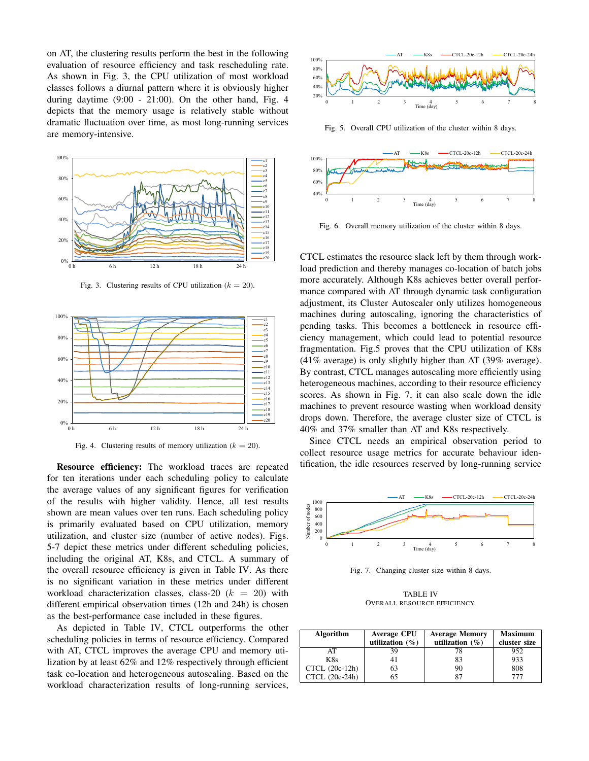on AT, the clustering results perform the best in the following evaluation of resource efficiency and task rescheduling rate. As shown in Fig. 3, the CPU utilization of most workload classes follows a diurnal pattern where it is obviously higher during daytime (9:00 - 21:00). On the other hand, Fig. 4 depicts that the memory usage is relatively stable without dramatic fluctuation over time, as most long-running services are memory-intensive.



Fig. 3. Clustering results of CPU utilization ( $k = 20$ ).



Fig. 4. Clustering results of memory utilization ( $k = 20$ ).

Resource efficiency: The workload traces are repeated for ten iterations under each scheduling policy to calculate the average values of any significant figures for verification of the results with higher validity. Hence, all test results shown are mean values over ten runs. Each scheduling policy is primarily evaluated based on CPU utilization, memory utilization, and cluster size (number of active nodes). Figs. 5-7 depict these metrics under different scheduling policies, including the original AT, K8s, and CTCL. A summary of the overall resource efficiency is given in Table IV. As there is no significant variation in these metrics under different workload characterization classes, class-20  $(k = 20)$  with different empirical observation times (12h and 24h) is chosen as the best-performance case included in these figures.

As depicted in Table IV, CTCL outperforms the other scheduling policies in terms of resource efficiency. Compared with AT, CTCL improves the average CPU and memory utilization by at least 62% and 12% respectively through efficient task co-location and heterogeneous autoscaling. Based on the workload characterization results of long-running services,



Fig. 5. Overall CPU utilization of the cluster within 8 days.



Fig. 6. Overall memory utilization of the cluster within 8 days.

CTCL estimates the resource slack left by them through workload prediction and thereby manages co-location of batch jobs more accurately. Although K8s achieves better overall performance compared with AT through dynamic task configuration adjustment, its Cluster Autoscaler only utilizes homogeneous machines during autoscaling, ignoring the characteristics of pending tasks. This becomes a bottleneck in resource efficiency management, which could lead to potential resource fragmentation. Fig.5 proves that the CPU utilization of K8s (41% average) is only slightly higher than AT (39% average). By contrast, CTCL manages autoscaling more efficiently using heterogeneous machines, according to their resource efficiency scores. As shown in Fig. 7, it can also scale down the idle machines to prevent resource wasting when workload density drops down. Therefore, the average cluster size of CTCL is 40% and 37% smaller than AT and K8s respectively.

Since CTCL needs an empirical observation period to collect resource usage metrics for accurate behaviour identification, the idle resources reserved by long-running service



Fig. 7. Changing cluster size within 8 days.

TABLE IV OVERALL RESOURCE EFFICIENCY.

| <b>Algorithm</b> | <b>Average CPU</b><br>utilization $(\% )$ | <b>Average Memory</b><br>utilization $(\% )$ | <b>Maximum</b><br>cluster size |
|------------------|-------------------------------------------|----------------------------------------------|--------------------------------|
| AT               |                                           |                                              | 952                            |
| K8s              |                                           | 83                                           | 933                            |
| CTCL (20c-12h)   |                                           | 90                                           | 808                            |
| CTCL (20c-24h)   |                                           |                                              |                                |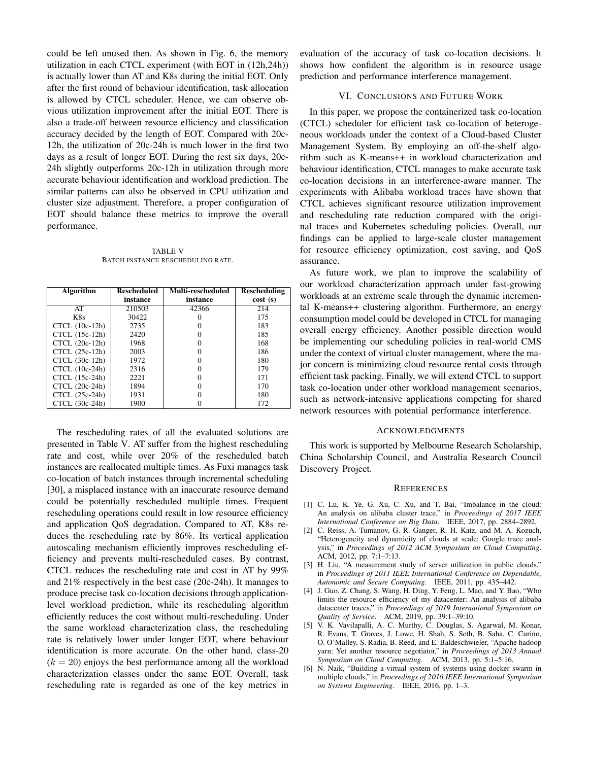could be left unused then. As shown in Fig. 6, the memory utilization in each CTCL experiment (with EOT in (12h,24h)) is actually lower than AT and K8s during the initial EOT. Only after the first round of behaviour identification, task allocation is allowed by CTCL scheduler. Hence, we can observe obvious utilization improvement after the initial EOT. There is also a trade-off between resource efficiency and classification accuracy decided by the length of EOT. Compared with 20c-12h, the utilization of 20c-24h is much lower in the first two days as a result of longer EOT. During the rest six days, 20c-24h slightly outperforms 20c-12h in utilization through more accurate behaviour identification and workload prediction. The similar patterns can also be observed in CPU utilization and cluster size adjustment. Therefore, a proper configuration of EOT should balance these metrics to improve the overall performance.

TABLE V BATCH INSTANCE RESCHEDULING RATE.

| <b>Algorithm</b> | <b>Rescheduled</b> | Multi-rescheduled | <b>Rescheduling</b> |
|------------------|--------------------|-------------------|---------------------|
|                  | instance           | instance          | cost(s)             |
| AT               | 210503             | 42366             | 214                 |
| K8s              | 30422              |                   | 175                 |
| $CTCL (10c-12h)$ | 2735               |                   | 183                 |
| CTCL (15c-12h)   | 2420               |                   | 185                 |
| CTCL (20c-12h)   | 1968               |                   | 168                 |
| $CTCL (25c-12h)$ | 2003               |                   | 186                 |
| $CTCL (30c-12h)$ | 1972               |                   | 180                 |
| CTCL (10c-24h)   | 2316               |                   | 179                 |
| CTCL (15c-24h)   | 2221               |                   | 171                 |
| CTCL (20c-24h)   | 1894               |                   | 170                 |
| CTCL (25c-24h)   | 1931               |                   | 180                 |
| CTCL (30c-24h)   | 1900               |                   | 172                 |

The rescheduling rates of all the evaluated solutions are presented in Table V. AT suffer from the highest rescheduling rate and cost, while over 20% of the rescheduled batch instances are reallocated multiple times. As Fuxi manages task co-location of batch instances through incremental scheduling [30], a misplaced instance with an inaccurate resource demand could be potentially rescheduled multiple times. Frequent rescheduling operations could result in low resource efficiency and application QoS degradation. Compared to AT, K8s reduces the rescheduling rate by 86%. Its vertical application autoscaling mechanism efficiently improves rescheduling efficiency and prevents multi-rescheduled cases. By contrast, CTCL reduces the rescheduling rate and cost in AT by 99% and 21% respectively in the best case (20c-24h). It manages to produce precise task co-location decisions through applicationlevel workload prediction, while its rescheduling algorithm efficiently reduces the cost without multi-rescheduling. Under the same workload characterization class, the rescheduling rate is relatively lower under longer EOT, where behaviour identification is more accurate. On the other hand, class-20  $(k = 20)$  enjoys the best performance among all the workload characterization classes under the same EOT. Overall, task rescheduling rate is regarded as one of the key metrics in

evaluation of the accuracy of task co-location decisions. It shows how confident the algorithm is in resource usage prediction and performance interference management.

## VI. CONCLUSIONS AND FUTURE WORK

In this paper, we propose the containerized task co-location (CTCL) scheduler for efficient task co-location of heterogeneous workloads under the context of a Cloud-based Cluster Management System. By employing an off-the-shelf algorithm such as K-means++ in workload characterization and behaviour identification, CTCL manages to make accurate task co-location decisions in an interference-aware manner. The experiments with Alibaba workload traces have shown that CTCL achieves significant resource utilization improvement and rescheduling rate reduction compared with the original traces and Kubernetes scheduling policies. Overall, our findings can be applied to large-scale cluster management for resource efficiency optimization, cost saving, and QoS assurance.

As future work, we plan to improve the scalability of our workload characterization approach under fast-growing workloads at an extreme scale through the dynamic incremental K-means++ clustering algorithm. Furthermore, an energy consumption model could be developed in CTCL for managing overall energy efficiency. Another possible direction would be implementing our scheduling policies in real-world CMS under the context of virtual cluster management, where the major concern is minimizing cloud resource rental costs through efficient task packing. Finally, we will extend CTCL to support task co-location under other workload management scenarios, such as network-intensive applications competing for shared network resources with potential performance interference.

#### ACKNOWLEDGMENTS

This work is supported by Melbourne Research Scholarship, China Scholarship Council, and Australia Research Council Discovery Project.

#### **REFERENCES**

- [1] C. Lu, K. Ye, G. Xu, C. Xu, and T. Bai, "Imbalance in the cloud: An analysis on alibaba cluster trace," in *Proceedings of 2017 IEEE International Conference on Big Data*. IEEE, 2017, pp. 2884–2892.
- [2] C. Reiss, A. Tumanov, G. R. Ganger, R. H. Katz, and M. A. Kozuch, "Heterogeneity and dynamicity of clouds at scale: Google trace analysis," in *Proceedings of 2012 ACM Symposium on Cloud Computing*. ACM, 2012, pp. 7:1–7:13.
- [3] H. Liu, "A measurement study of server utilization in public clouds," in *Proceedings of 2011 IEEE International Conference on Dependable, Autonomic and Secure Computing*. IEEE, 2011, pp. 435–442.
- [4] J. Guo, Z. Chang, S. Wang, H. Ding, Y. Feng, L. Mao, and Y. Bao, "Who limits the resource efficiency of my datacenter: An analysis of alibaba datacenter traces," in *Proceedings of 2019 International Symposium on Quality of Service*. ACM, 2019, pp. 39:1–39:10.
- [5] V. K. Vavilapalli, A. C. Murthy, C. Douglas, S. Agarwal, M. Konar, R. Evans, T. Graves, J. Lowe, H. Shah, S. Seth, B. Saha, C. Curino, O. O'Malley, S. Radia, B. Reed, and E. Baldeschwieler, "Apache hadoop yarn: Yet another resource negotiator," in *Proceedings of 2013 Annual Symposium on Cloud Computing*. ACM, 2013, pp. 5:1–5:16.
- [6] N. Naik, "Building a virtual system of systems using docker swarm in multiple clouds," in *Proceedings of 2016 IEEE International Symposium on Systems Engineering*. IEEE, 2016, pp. 1–3.